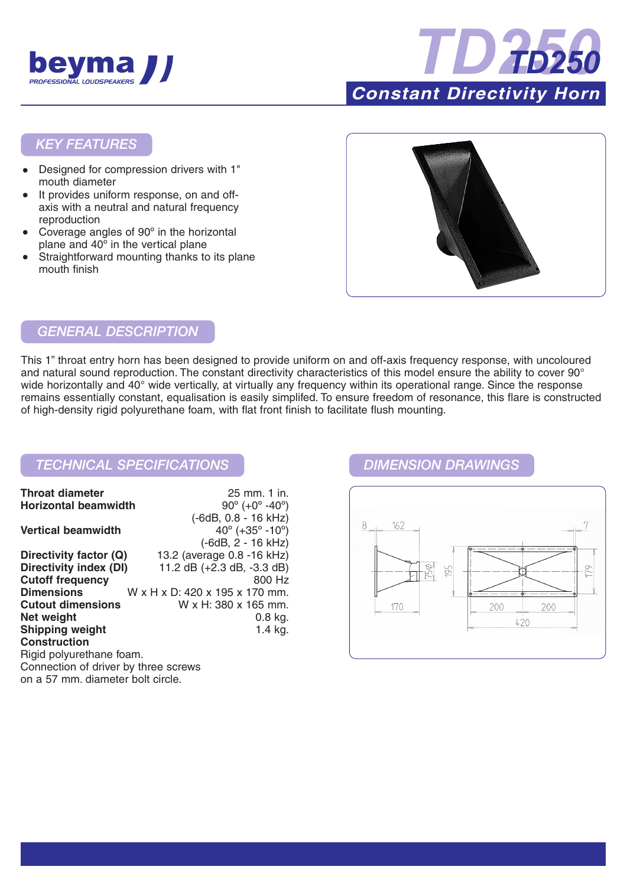



### *KEY FEATURES*

- Designed for compression drivers with 1" mouth diameter
- It provides uniform response, on and offaxis with a neutral and natural frequency reproduction
- Coverage angles of 90° in the horizontal plane and 40º in the vertical plane
- Straightforward mounting thanks to its plane mouth finish



# *GENERAL DESCRIPTION*

This 1" throat entry horn has been designed to provide uniform on and off-axis frequency response, with uncoloured and natural sound reproduction. The constant directivity characteristics of this model ensure the ability to cover 90° wide horizontally and 40° wide vertically, at virtually any frequency within its operational range. Since the response remains essentially constant, equalisation is easily simplifed. To ensure freedom of resonance, this flare is constructed of high-density rigid polyurethane foam, with flat front finish to facilitate flush mounting.

## *TECHNICAL SPECIFICATIONS DIMENSION DRAWINGS*

| <b>Throat diameter</b>               | 25 mm. 1 in.                                  |
|--------------------------------------|-----------------------------------------------|
| <b>Horizontal beamwidth</b>          | $90^{\circ}$ (+0 $^{\circ}$ -40 $^{\circ}$ )  |
|                                      | (-6dB, 0.8 - 16 kHz)                          |
| <b>Vertical beamwidth</b>            | $40^{\circ}$ (+35 $^{\circ}$ -10 $^{\circ}$ ) |
|                                      | $(-6dB, 2 - 16 kHz)$                          |
| Directivity factor (Q)               | 13.2 (average 0.8 -16 kHz)                    |
| Directivity index (DI)               | 11.2 dB (+2.3 dB, -3.3 dB)                    |
| <b>Cutoff frequency</b>              | 800 Hz                                        |
| <b>Dimensions</b>                    | W x H x D: 420 x 195 x 170 mm.                |
| <b>Cutout dimensions</b>             | W x H: 380 x 165 mm.                          |
| Net weight                           | $0.8$ kg.                                     |
| <b>Shipping weight</b>               | 1.4 $kg.$                                     |
| <b>Construction</b>                  |                                               |
| Rigid polyurethane foam.             |                                               |
| Connection of driver by three screws |                                               |
| on a 57 mm, diameter bolt circle.    |                                               |